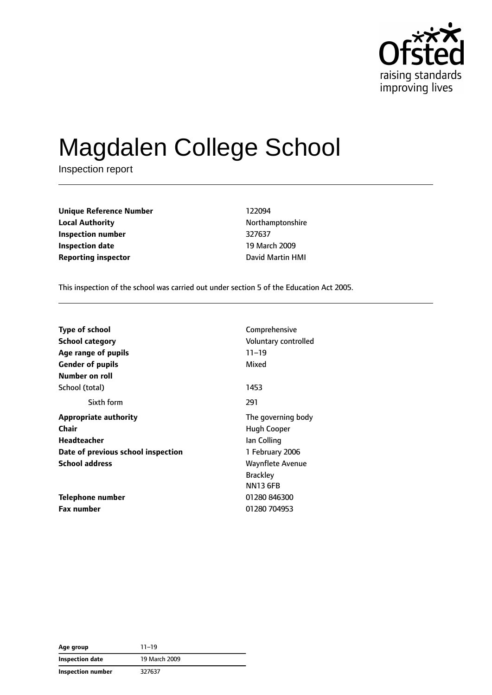

# Magdalen College School

Inspection report

| <b>Unique Reference Number</b> | 122094           |  |  |
|--------------------------------|------------------|--|--|
| <b>Local Authority</b>         | Northamptonshire |  |  |
| Inspection number              | 327637           |  |  |
| <b>Inspection date</b>         | 19 March 2009    |  |  |
| <b>Reporting inspector</b>     | David Martin HMI |  |  |

**Local Authority** Northamptonshire **Inspection number** 327637 **19 March 2009** 

This inspection of the school was carried out under section 5 of the Education Act 2005.

| <b>Type of school</b>              | Comprehensive           |
|------------------------------------|-------------------------|
| <b>School category</b>             | Voluntary controlled    |
| Age range of pupils                | $11 - 19$               |
| <b>Gender of pupils</b>            | Mixed                   |
| Number on roll                     |                         |
| School (total)                     | 1453                    |
| Sixth form                         | 291                     |
| <b>Appropriate authority</b>       | The governing body      |
| Chair                              | Hugh Cooper             |
| Headteacher                        | lan Colling             |
| Date of previous school inspection | 1 February 2006         |
| <b>School address</b>              | <b>Waynflete Avenue</b> |
|                                    | <b>Brackley</b>         |
|                                    | <b>NN13 6FB</b>         |
| <b>Telephone number</b>            | 01280 846300            |
| <b>Fax number</b>                  | 01280 704953            |

| Age group         | 11–19         |
|-------------------|---------------|
| Inspection date   | 19 March 2009 |
| Inspection number | 327637        |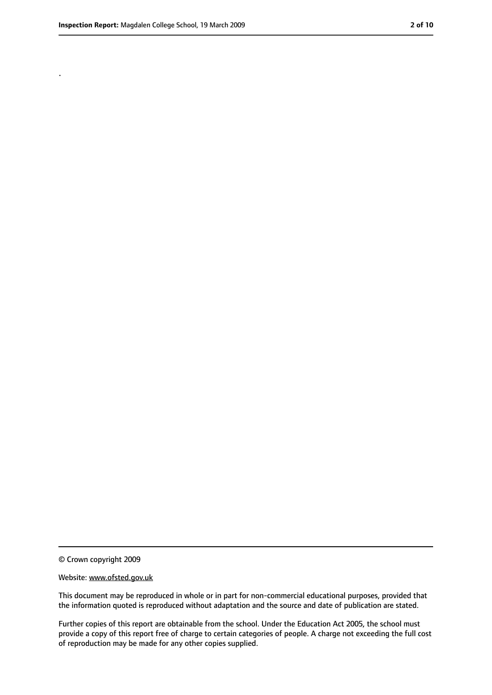.

<sup>©</sup> Crown copyright 2009

Website: www.ofsted.gov.uk

This document may be reproduced in whole or in part for non-commercial educational purposes, provided that the information quoted is reproduced without adaptation and the source and date of publication are stated.

Further copies of this report are obtainable from the school. Under the Education Act 2005, the school must provide a copy of this report free of charge to certain categories of people. A charge not exceeding the full cost of reproduction may be made for any other copies supplied.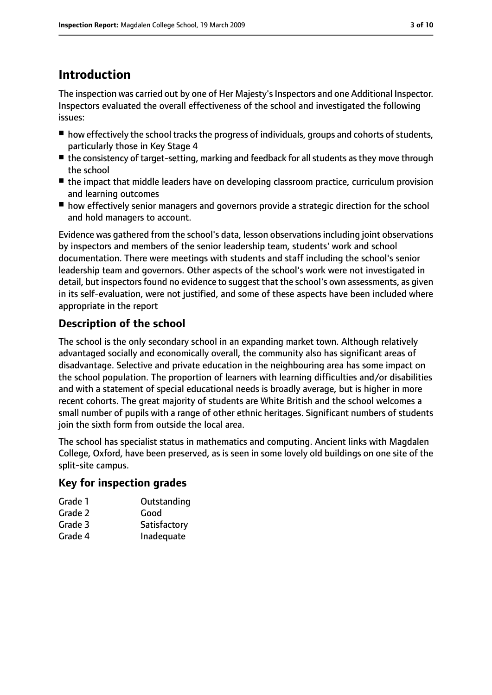# **Introduction**

The inspection was carried out by one of Her Majesty's Inspectors and one Additional Inspector. Inspectors evaluated the overall effectiveness of the school and investigated the following issues:

- how effectively the school tracks the progress of individuals, groups and cohorts of students, particularly those in Key Stage 4
- the consistency of target-setting, marking and feedback for all students as they move through the school
- the impact that middle leaders have on developing classroom practice, curriculum provision and learning outcomes
- how effectively senior managers and governors provide a strategic direction for the school and hold managers to account.

Evidence was gathered from the school's data, lesson observations including joint observations by inspectors and members of the senior leadership team, students' work and school documentation. There were meetings with students and staff including the school's senior leadership team and governors. Other aspects of the school's work were not investigated in detail, but inspectors found no evidence to suggest that the school's own assessments, as given in its self-evaluation, were not justified, and some of these aspects have been included where appropriate in the report

## **Description of the school**

The school is the only secondary school in an expanding market town. Although relatively advantaged socially and economically overall, the community also has significant areas of disadvantage. Selective and private education in the neighbouring area has some impact on the school population. The proportion of learners with learning difficulties and/or disabilities and with a statement of special educational needs is broadly average, but is higher in more recent cohorts. The great majority of students are White British and the school welcomes a small number of pupils with a range of other ethnic heritages. Significant numbers of students join the sixth form from outside the local area.

The school has specialist status in mathematics and computing. Ancient links with Magdalen College, Oxford, have been preserved, as is seen in some lovely old buildings on one site of the split-site campus.

#### **Key for inspection grades**

| Grade 1 | Outstanding  |
|---------|--------------|
| Grade 2 | Good         |
| Grade 3 | Satisfactory |
| Grade 4 | Inadequate   |
|         |              |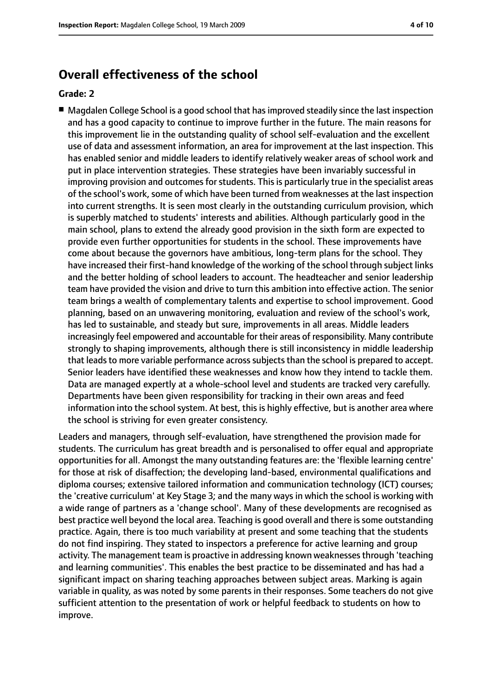### **Overall effectiveness of the school**

#### **Grade: 2**

■ Magdalen College School is a good school that has improved steadily since the last inspection and has a good capacity to continue to improve further in the future. The main reasons for this improvement lie in the outstanding quality of school self-evaluation and the excellent use of data and assessment information, an area for improvement at the last inspection. This has enabled senior and middle leaders to identify relatively weaker areas of school work and put in place intervention strategies. These strategies have been invariably successful in improving provision and outcomes for students. This is particularly true in the specialist areas of the school's work, some of which have been turned from weaknesses at the last inspection into current strengths. It is seen most clearly in the outstanding curriculum provision, which is superbly matched to students' interests and abilities. Although particularly good in the main school, plans to extend the already good provision in the sixth form are expected to provide even further opportunities for students in the school. These improvements have come about because the governors have ambitious, long-term plans for the school. They have increased their first-hand knowledge of the working of the school through subject links and the better holding of school leaders to account. The headteacher and senior leadership team have provided the vision and drive to turn this ambition into effective action. The senior team brings a wealth of complementary talents and expertise to school improvement. Good planning, based on an unwavering monitoring, evaluation and review of the school's work, has led to sustainable, and steady but sure, improvements in all areas. Middle leaders increasingly feel empowered and accountable for their areas of responsibility. Many contribute strongly to shaping improvements, although there is still inconsistency in middle leadership that leads to more variable performance across subjects than the school is prepared to accept. Senior leaders have identified these weaknesses and know how they intend to tackle them. Data are managed expertly at a whole-school level and students are tracked very carefully. Departments have been given responsibility for tracking in their own areas and feed information into the school system. At best, this is highly effective, but is another area where the school is striving for even greater consistency.

Leaders and managers, through self-evaluation, have strengthened the provision made for students. The curriculum has great breadth and is personalised to offer equal and appropriate opportunities for all. Amongst the many outstanding features are: the 'flexible learning centre' for those at risk of disaffection; the developing land-based, environmental qualifications and diploma courses; extensive tailored information and communication technology (ICT) courses; the 'creative curriculum' at Key Stage 3; and the many ways in which the school is working with a wide range of partners as a 'change school'. Many of these developments are recognised as best practice well beyond the local area. Teaching is good overall and there is some outstanding practice. Again, there is too much variability at present and some teaching that the students do not find inspiring. They stated to inspectors a preference for active learning and group activity. The management team is proactive in addressing known weaknesses through 'teaching and learning communities'. This enables the best practice to be disseminated and has had a significant impact on sharing teaching approaches between subject areas. Marking is again variable in quality, as was noted by some parents in their responses. Some teachers do not give sufficient attention to the presentation of work or helpful feedback to students on how to improve.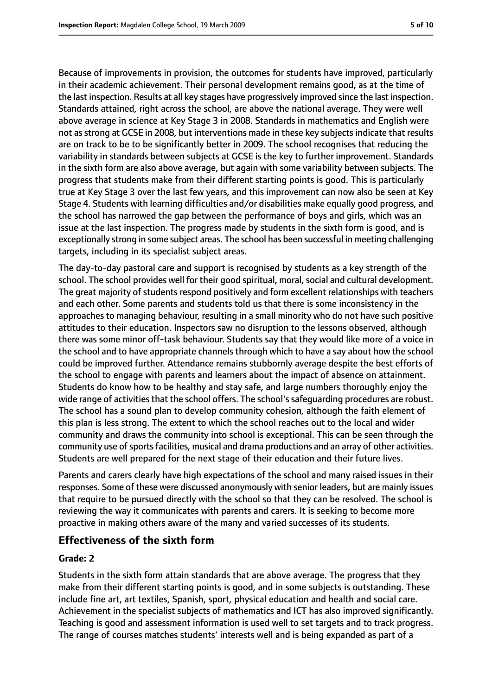Because of improvements in provision, the outcomes for students have improved, particularly in their academic achievement. Their personal development remains good, as at the time of the last inspection. Results at all key stages have progressively improved since the last inspection. Standards attained, right across the school, are above the national average. They were well above average in science at Key Stage 3 in 2008. Standards in mathematics and English were not as strong at GCSE in 2008, but interventions made in these key subjects indicate that results are on track to be to be significantly better in 2009. The school recognises that reducing the variability in standards between subjects at GCSE is the key to further improvement. Standards in the sixth form are also above average, but again with some variability between subjects. The progress that students make from their different starting points is good. This is particularly true at Key Stage 3 over the last few years, and this improvement can now also be seen at Key Stage 4. Students with learning difficulties and/or disabilities make equally good progress, and the school has narrowed the gap between the performance of boys and girls, which was an issue at the last inspection. The progress made by students in the sixth form is good, and is exceptionally strong in some subject areas. The school has been successful in meeting challenging targets, including in its specialist subject areas.

The day-to-day pastoral care and support is recognised by students as a key strength of the school. The school provides well for their good spiritual, moral, social and cultural development. The great majority of students respond positively and form excellent relationships with teachers and each other. Some parents and students told us that there is some inconsistency in the approaches to managing behaviour, resulting in a small minority who do not have such positive attitudes to their education. Inspectors saw no disruption to the lessons observed, although there was some minor off-task behaviour. Students say that they would like more of a voice in the school and to have appropriate channels through which to have a say about how the school could be improved further. Attendance remains stubbornly average despite the best efforts of the school to engage with parents and learners about the impact of absence on attainment. Students do know how to be healthy and stay safe, and large numbers thoroughly enjoy the wide range of activities that the school offers. The school's safeguarding procedures are robust. The school has a sound plan to develop community cohesion, although the faith element of this plan is less strong. The extent to which the school reaches out to the local and wider community and draws the community into school is exceptional. This can be seen through the community use of sports facilities, musical and drama productions and an array of other activities. Students are well prepared for the next stage of their education and their future lives.

Parents and carers clearly have high expectations of the school and many raised issues in their responses. Some of these were discussed anonymously with senior leaders, but are mainly issues that require to be pursued directly with the school so that they can be resolved. The school is reviewing the way it communicates with parents and carers. It is seeking to become more proactive in making others aware of the many and varied successes of its students.

#### **Effectiveness of the sixth form**

#### **Grade: 2**

Students in the sixth form attain standards that are above average. The progress that they make from their different starting points is good, and in some subjects is outstanding. These include fine art, art textiles, Spanish, sport, physical education and health and social care. Achievement in the specialist subjects of mathematics and ICT has also improved significantly. Teaching is good and assessment information is used well to set targets and to track progress. The range of courses matches students' interests well and is being expanded as part of a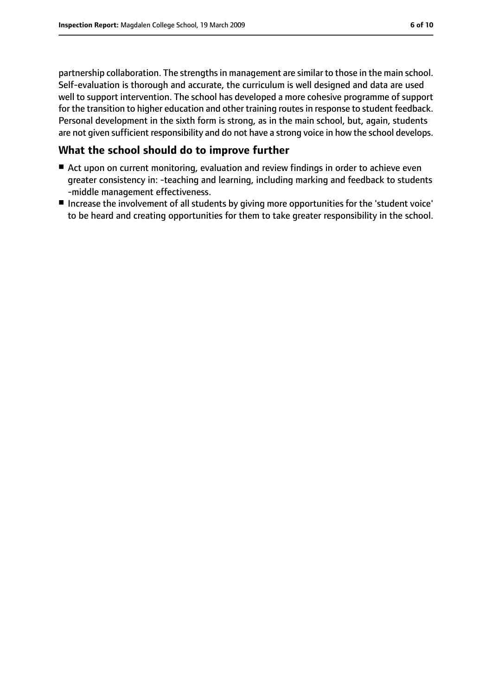partnership collaboration. The strengths in management are similar to those in the main school. Self-evaluation is thorough and accurate, the curriculum is well designed and data are used well to support intervention. The school has developed a more cohesive programme of support for the transition to higher education and other training routes in response to student feedback. Personal development in the sixth form is strong, as in the main school, but, again, students

are not given sufficient responsibility and do not have a strong voice in how the school develops.

#### **What the school should do to improve further**

- Act upon on current monitoring, evaluation and review findings in order to achieve even greater consistency in: -teaching and learning, including marking and feedback to students -middle management effectiveness.
- Increase the involvement of all students by giving more opportunities for the 'student voice' to be heard and creating opportunities for them to take greater responsibility in the school.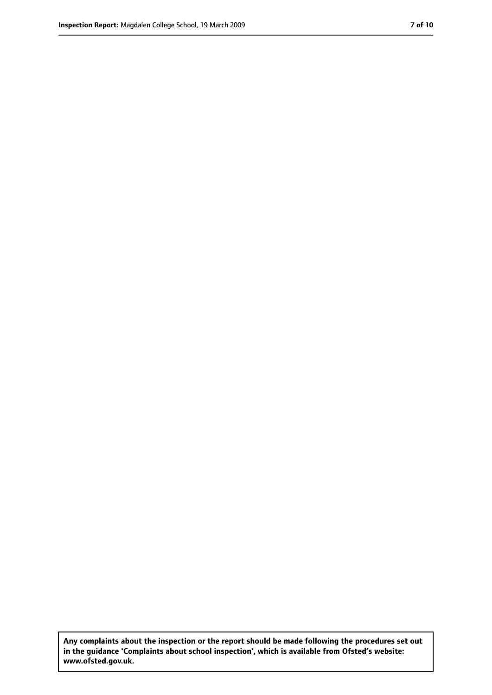**Any complaints about the inspection or the report should be made following the procedures set out in the guidance 'Complaints about school inspection', which is available from Ofsted's website: www.ofsted.gov.uk.**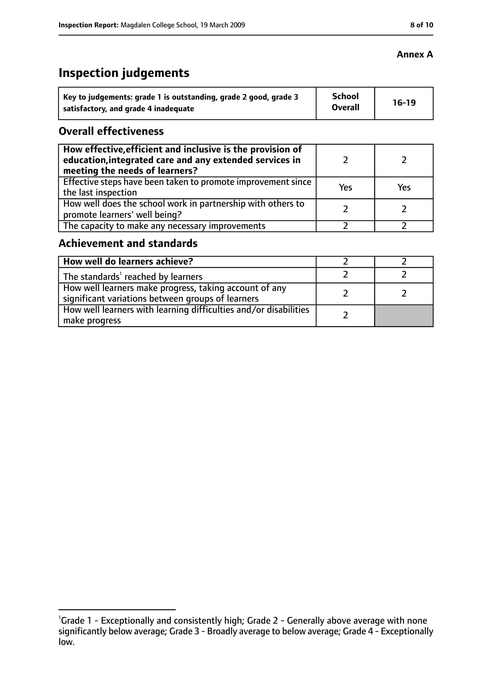# **Inspection judgements**

| Key to judgements: grade 1 is outstanding, grade 2 good, grade 3 | School         | $16-19$ |
|------------------------------------------------------------------|----------------|---------|
| satisfactory, and grade 4 inadequate                             | <b>Overall</b> |         |

#### **Overall effectiveness**

| How effective, efficient and inclusive is the provision of<br>education, integrated care and any extended services in<br>meeting the needs of learners? |     |     |
|---------------------------------------------------------------------------------------------------------------------------------------------------------|-----|-----|
| Effective steps have been taken to promote improvement since<br>the last inspection                                                                     | Yes | Yes |
| How well does the school work in partnership with others to<br>promote learners' well being?                                                            |     |     |
| The capacity to make any necessary improvements                                                                                                         |     |     |

## **Achievement and standards**

| How well do learners achieve?                                                                               |  |
|-------------------------------------------------------------------------------------------------------------|--|
| The standards <sup>1</sup> reached by learners                                                              |  |
| How well learners make progress, taking account of any<br>significant variations between groups of learners |  |
| How well learners with learning difficulties and/or disabilities<br>make progress                           |  |

#### **Annex A**

<sup>&</sup>lt;sup>1</sup>Grade 1 - Exceptionally and consistently high; Grade 2 - Generally above average with none significantly below average; Grade 3 - Broadly average to below average; Grade 4 - Exceptionally low.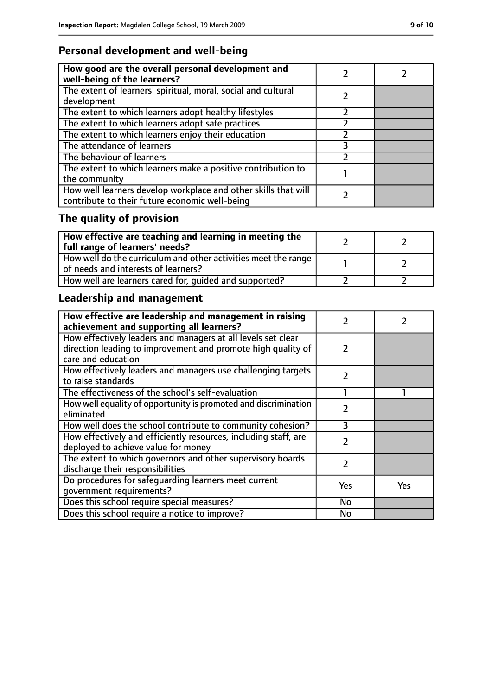## **Personal development and well-being**

| How good are the overall personal development and<br>well-being of the learners?                                 |  |
|------------------------------------------------------------------------------------------------------------------|--|
| The extent of learners' spiritual, moral, social and cultural<br>development                                     |  |
| The extent to which learners adopt healthy lifestyles                                                            |  |
| The extent to which learners adopt safe practices                                                                |  |
| The extent to which learners enjoy their education                                                               |  |
| The attendance of learners                                                                                       |  |
| The behaviour of learners                                                                                        |  |
| The extent to which learners make a positive contribution to<br>the community                                    |  |
| How well learners develop workplace and other skills that will<br>contribute to their future economic well-being |  |

# **The quality of provision**

| $\mid$ How effective are teaching and learning in meeting the<br>full range of learners' needs?       |  |
|-------------------------------------------------------------------------------------------------------|--|
| How well do the curriculum and other activities meet the range<br>of needs and interests of learners? |  |
| How well are learners cared for, quided and supported?                                                |  |

# **Leadership and management**

| How effective are leadership and management in raising<br>achievement and supporting all learners? | フ             |     |
|----------------------------------------------------------------------------------------------------|---------------|-----|
| How effectively leaders and managers at all levels set clear                                       |               |     |
| direction leading to improvement and promote high quality of                                       | 2             |     |
| care and education                                                                                 |               |     |
| How effectively leaders and managers use challenging targets                                       | $\mathcal{P}$ |     |
| to raise standards                                                                                 |               |     |
| The effectiveness of the school's self-evaluation                                                  |               |     |
| How well equality of opportunity is promoted and discrimination                                    | $\mathcal{P}$ |     |
| eliminated                                                                                         |               |     |
| How well does the school contribute to community cohesion?                                         | ξ             |     |
| How effectively and efficiently resources, including staff, are                                    | $\mathcal{P}$ |     |
| deployed to achieve value for money                                                                |               |     |
| The extent to which governors and other supervisory boards                                         | 2             |     |
| discharge their responsibilities                                                                   |               |     |
| Do procedures for safeguarding learners meet current                                               | Yes           | Yes |
| qovernment requirements?                                                                           |               |     |
| Does this school require special measures?                                                         | No            |     |
| Does this school require a notice to improve?                                                      | No            |     |